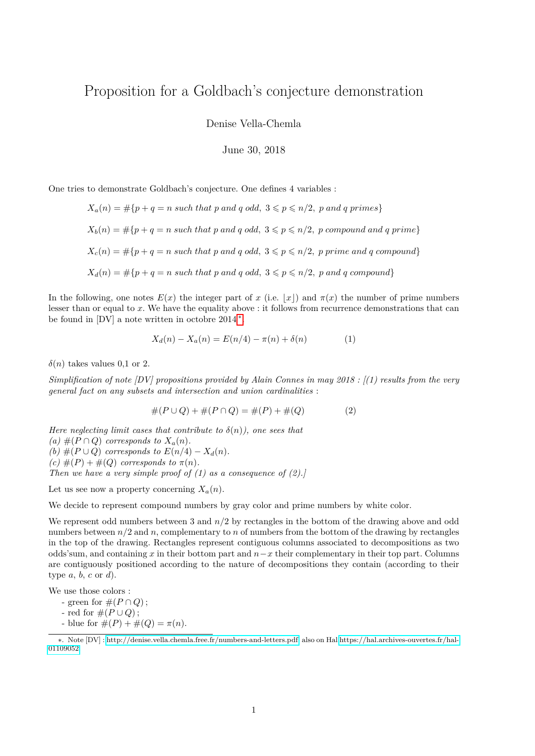## Proposition for a Goldbach's conjecture demonstration

Denise Vella-Chemla

June 30, 2018

One tries to demonstrate Goldbach's conjecture. One defines 4 variables :

$$
X_a(n) = #\{p + q = n \text{ such that } p \text{ and } q \text{ odd}, 3 \leq p \leq n/2, p \text{ and } q \text{ primes}\}
$$
  

$$
X_b(n) = #\{p + q = n \text{ such that } p \text{ and } q \text{ odd}, 3 \leq p \leq n/2, p \text{ compound and } q \text{ prime}\}
$$
  

$$
X_c(n) = #\{p + q = n \text{ such that } p \text{ and } q \text{ odd}, 3 \leq p \leq n/2, p \text{ prime and } q \text{ compound}\}
$$
  

$$
X_d(n) = #\{p + q = n \text{ such that } p \text{ and } q \text{ odd}, 3 \leq p \leq n/2, p \text{ and } q \text{ compound}\}
$$

In the following, one notes  $E(x)$  the integer part of *x* (i.e.  $|x|$ ) and  $\pi(x)$  the number of prime numbers lesser than or equal to *x*. We have the equality above : it follows from recurrence demonstrations that can be found in  $|DV|$  a note written in octobre 2014<sup>\*</sup>.

$$
X_d(n) - X_a(n) = E(n/4) - \pi(n) + \delta(n)
$$
 (1)

 $\delta(n)$  takes values 0,1 or 2.

*Simplification of note [DV] propositions provided by Alain Connes in may 2018 : [(1) results from the very general fact on any subsets and intersection and union cardinalities* :

$$
#(P \cup Q) + #(P \cap Q) = #(P) + #(Q)
$$
\n(2)

*Here neglecting limit cases that contribute to*  $\delta(n)$ *), one sees that* 

*(a)*  $#(P ∩ Q)$  *corresponds to*  $X_a(n)$ *.* 

(b)  $#(P \cup Q)$  *corresponds to*  $E(n/4) - X_d(n)$ .

 $(c)$   $#(P) + #(Q)$  *corresponds to*  $\pi(n)$ *.* 

*Then we have a very simple proof of (1) as a consequence of (2).]*

Let us see now a property concerning  $X_a(n)$ .

We decide to represent compound numbers by gray color and prime numbers by white color.

We represent odd numbers between 3 and *n/*2 by rectangles in the bottom of the drawing above and odd numbers between  $n/2$  and *n*, complementary to *n* of numbers from the bottom of the drawing by rectangles in the top of the drawing. Rectangles represent contiguous columns associated to decompositions as two odds'sum, and containing *x* in their bottom part and *n*−*x* their complementary in their top part. Columns are contiguously positioned according to the nature of decompositions they contain (according to their type *a*, *b*, *c* or *d*).

We use those colors :

- green for  $\#(P \cap Q)$ ;

- red for #(*P* ∪ *Q*);
- <span id="page-0-0"></span>- blue for  $#(P) + #(Q) = \pi(n)$ .

<sup>∗</sup>. Note [DV] : [http://denise.vella.chemla.free.fr/numbers-and-letters.pdf,](http://denise.vella.chemla.free.fr/nunbers-and-letters.pdf) also on Hal [https://hal.archives-ouvertes.fr/hal-](https://hal.archives-ouvertes.fr/hal-01109052)[01109052.](https://hal.archives-ouvertes.fr/hal-01109052)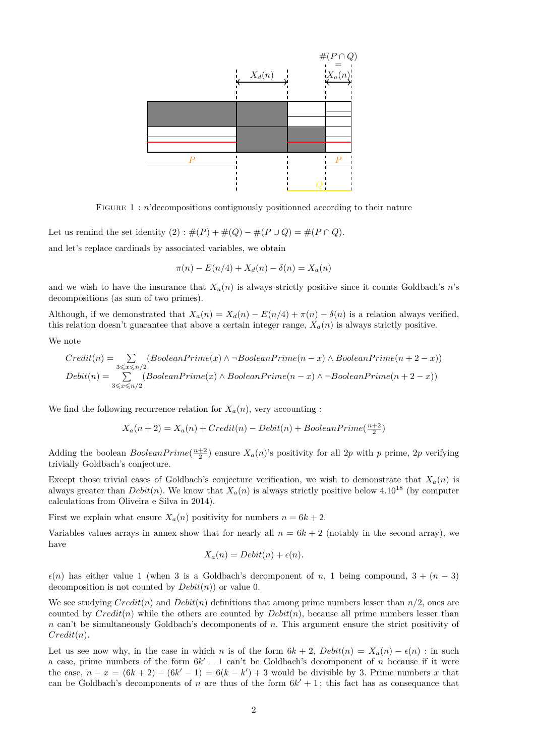

FIGURE 1 : *n*'decompositions contiguously positionned according to their nature

Let us remind the set identity  $(2)$ :  $\#(P) + \#(Q) - \#(P \cup Q) = \#(P \cap Q)$ .

and let's replace cardinals by associated variables, we obtain

$$
\pi(n) - E(n/4) + X_d(n) - \delta(n) = X_a(n)
$$

and we wish to have the insurance that  $X_a(n)$  is always strictly positive since it counts Goldbach's *n*'s decompositions (as sum of two primes).

Although, if we demonstrated that  $X_a(n) = X_d(n) - E(n/4) + \pi(n) - \delta(n)$  is a relation always verified, this relation doesn't guarantee that above a certain integer range,  $X_a(n)$  is always strictly positive.

We note

$$
Credit(n) = \sum_{3 \leq x \leq n/2} (BooleanPrime(x) \land \neg BooleanPrime(n-x) \land BooleanPrime(n+2-x))
$$
  
Debit(n) = 
$$
\sum_{3 \leq x \leq n/2} (BooleanPrime(x) \land BooleanPrime(n-x) \land \neg BooleanPrime(n+2-x))
$$

We find the following recurrence relation for  $X_a(n)$ , very accounting :

$$
X_a(n+2) = X_a(n) + Credit(n) - Debit(n) + BooleanPrime(\frac{n+2}{2})
$$

Adding the boolean  $BooleanPrime(\frac{n+2}{2})$  ensure  $X_a(n)$ 's positivity for all 2*p* with *p* prime, 2*p* verifying trivially Goldbach's conjecture.

Except those trivial cases of Goldbach's conjecture verification, we wish to demonstrate that  $X_a(n)$  is always greater than  $Debit(n)$ . We know that  $X_a(n)$  is always strictly positive below 4.10<sup>18</sup> (by computer calculations from Oliveira e Silva in 2014).

First we explain what ensure  $X_a(n)$  positivity for numbers  $n = 6k + 2$ .

Variables values arrays in annex show that for nearly all  $n = 6k + 2$  (notably in the second array), we have

$$
X_a(n) = Debit(n) + \epsilon(n).
$$

 $\epsilon(n)$  has either value 1 (when 3 is a Goldbach's decomponent of *n*, 1 being compound,  $3 + (n-3)$ ) decomposition is not counted by *Debit*(*n*)) or value 0.

We see studying  $Credit(n)$  and  $Debit(n)$  definitions that among prime numbers lesser than  $n/2$ , ones are counted by *Credit*(*n*) while the others are counted by *Debit*(*n*), because all prime numbers lesser than *n* can't be simultaneously Goldbach's decomponents of *n*. This argument ensure the strict positivity of *Credit*(*n*).

Let us see now why, in the case in which *n* is of the form  $6k + 2$ ,  $Debit(n) = X_a(n) - \epsilon(n)$ : in such a case, prime numbers of the form  $6k' - 1$  can't be Goldbach's decomponent of *n* because if it were the case,  $n - x = (6k + 2) - (6k' - 1) = 6(k - k') + 3$  would be divisible by 3. Prime numbers *x* that can be Goldbach's decomponents of *n* are thus of the form  $6k' + 1$ ; this fact has as consequance that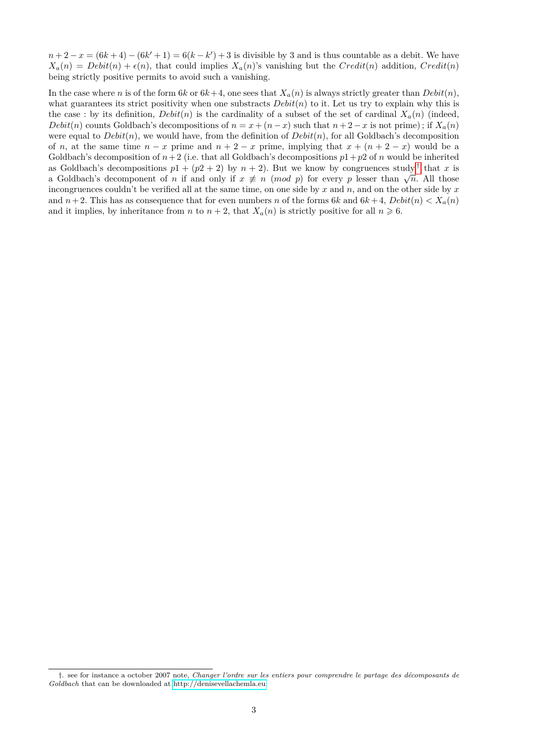$n+2-x = (6k+4) - (6k'+1) = 6(k-k') + 3$  is divisible by 3 and is thus countable as a debit. We have  $X_a(n) = Debit(n) + \epsilon(n)$ , that could implies  $X_a(n)$ 's vanishing but the *Credit*(*n*) addition, *Credit*(*n*) being strictly positive permits to avoid such a vanishing.

In the case where *n* is of the form 6*k* or  $6k+4$ , one sees that  $X_a(n)$  is always strictly greater than  $Debit(n)$ , what guarantees its strict positivity when one substracts  $Debit(n)$  to it. Let us try to explain why this is the case : by its definition,  $Debit(n)$  is the cardinality of a subset of the set of cardinal  $X_a(n)$  (indeed, *Debit*(*n*) counts Goldbach's decompositions of  $n = x + (n - x)$  such that  $n + 2 - x$  is not prime); if  $X_a(n)$ were equal to  $Debit(n)$ , we would have, from the definition of  $Debit(n)$ , for all Goldbach's decomposition of *n*, at the same time  $n - x$  prime and  $n + 2 - x$  prime, implying that  $x + (n + 2 - x)$  would be a Goldbach's decomposition of  $n+2$  (i.e. that all Goldbach's decompositions  $p1+p2$  of *n* would be inherited as Goldbach's decompositions  $p1 + (p2 + 2)$  by  $n + 2$ ). But we know by congruences study <sup>[†](#page-2-0)</sup> that *x* is as Goldbach's decompositions  $p_1 + (p_2 + 2)$  by  $n + 2$ ). But we know by congruences study that x is<br>a Goldbach's decomponent of *n* if and only if  $x \neq n \pmod{p}$  for every *p* lesser than  $\sqrt{n}$ . All those incongruences couldn't be verified all at the same time, on one side by *x* and *n*, and on the other side by *x* and  $n+2$ . This has as consequence that for even numbers *n* of the forms 6*k* and  $6k+4$ ,  $Debit(n) < X_a(n)$ and it implies, by inheritance from *n* to  $n + 2$ , that  $X_a(n)$  is strictly positive for all  $n \ge 6$ .

<span id="page-2-0"></span><sup>†</sup>. see for instance a october 2007 note, *Changer l'ordre sur les entiers pour comprendre le partage des décomposants de Goldbach* that can be downloaded at [http://denisevellachemla.eu.](http://denisevellachemla.eu)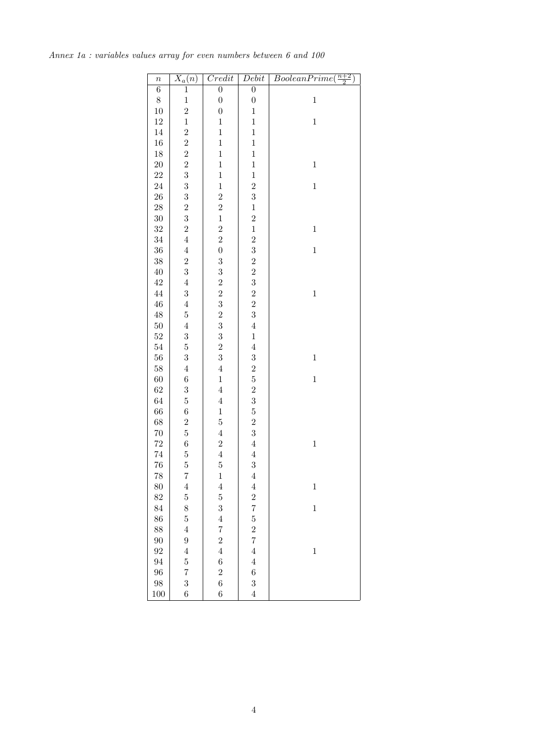| $\boldsymbol{n}$ | $\overline{X_a(n)}$     | $\overline{Credit}$                               | Debit                    | $BooleanPrime(\frac{n+2}{2})$ |
|------------------|-------------------------|---------------------------------------------------|--------------------------|-------------------------------|
| $\overline{6}$   | $\,1$                   | $\overline{0}$                                    | $\overline{0}$           |                               |
| $\,8\,$          | $\mathbf{1}$            | $\boldsymbol{0}$                                  | $\boldsymbol{0}$         | $\,1$                         |
| 10               | $\overline{2}$          | $\boldsymbol{0}$                                  | $\mathbf{1}$             |                               |
| 12               | $\mathbf{1}$            | $\mathbf 1$                                       | $\mathbf{1}$             | $\mathbf{1}$                  |
| 14               | $\overline{c}$          | $\mathbf{1}$                                      | $\mathbf{1}$             |                               |
| 16               | $\overline{2}$          | $\mathbf{1}$                                      | $\mathbf{1}$             |                               |
| 18               | $\overline{\mathbf{c}}$ | $\mathbf{1}$                                      | $\mathbf{1}$             |                               |
| <b>20</b>        | $\overline{2}$          | $\mathbf{1}$                                      | $\mathbf{1}$             | $\mathbf{1}$                  |
| 22               | 3                       | $\mathbf{1}$                                      | $\mathbf{1}$             |                               |
| 24               | 3                       | $\mathbf{1}$                                      | $\overline{2}$           | $\mathbf{1}$                  |
| 26               | 3                       | $\overline{c}$                                    | 3                        |                               |
| <b>28</b>        | $\overline{c}$          | $\overline{2}$                                    | $\mathbf{1}$             |                               |
| $30\,$           | 3                       | $\mathbf{1}$                                      | $\overline{c}$           |                               |
| 32               | $\overline{2}$          | $\overline{2}$                                    | $\mathbf{1}$             | $\mathbf{1}$                  |
| 34               | $\overline{4}$          | $\overline{2}$                                    |                          |                               |
| 36               | $\overline{4}$          | $\overline{0}$                                    |                          | $\mathbf{1}$                  |
| 38               | $\overline{2}$          | 3                                                 |                          |                               |
| 40               | 3                       | 3                                                 |                          |                               |
| 42               | $\overline{4}$          |                                                   |                          |                               |
| 44               | $\boldsymbol{3}$        | $\begin{smallmatrix}2&&2\&3\2&3\end{smallmatrix}$ | $2\ 3\ 2\ 2\ 3\ 2\ 2\ 3$ | $\mathbf{1}$                  |
| 46               | $\overline{4}$          |                                                   |                          |                               |
| 48               | $\mathbf 5$             |                                                   |                          |                               |
| 50               | $\overline{4}$          |                                                   | $\overline{4}$           |                               |
| 52               | $\boldsymbol{3}$        | 3                                                 | $\mathbf{1}$             |                               |
| 54               | $\mathbf 5$             | $\overline{2}$                                    | $\overline{4}$           |                               |
| 56               | 3                       | $\overline{3}$                                    | 3                        | $\mathbf{1}$                  |
| 58               | $\overline{4}$          | $\overline{4}$                                    |                          |                               |
| 60               | $\,$ 6 $\,$             | $\mathbf{1}$                                      | $2\,5\,2\,3\,5\,2\,3$    | $\mathbf{1}$                  |
| 62               | $\boldsymbol{3}$        | $\overline{4}$                                    |                          |                               |
| 64               | $\mathbf 5$             | $\overline{4}$                                    |                          |                               |
| 66               | $\,$ 6 $\,$             | $\mathbf{1}$                                      |                          |                               |
| 68               | $\overline{2}$          | $\overline{5}$                                    |                          |                               |
| 70               | $\overline{5}$          | $\overline{4}$                                    |                          |                               |
| 72               | $\,$ 6 $\,$             | $\overline{\mathbf{c}}$                           | $\overline{4}$           | $\mathbf{1}$                  |
| 74               | $\overline{5}$          | $\overline{4}$                                    | $\overline{4}$           |                               |
| 76               | $\overline{5}$          | $\overline{5}$                                    | 3                        |                               |
| 78               | $\overline{7}$          | $\mathbf{1}$                                      | $\overline{4}$           |                               |
| 80               | $\overline{4}$          | $\overline{4}$                                    | $\overline{4}$           | $\,1$                         |
| 82               | $\overline{5}$          | $\overline{5}$                                    |                          |                               |
| 84               | 8                       | 3                                                 | $\frac{2}{7}$            | $\mathbf{1}$                  |
| 86               | $\overline{5}$          | $\overline{4}$                                    | $\overline{5}$           |                               |
| 88               | $\overline{4}$          | $\overline{7}$                                    | $\overline{2}$           |                               |
| 90               | $\overline{9}$          | $\overline{2}$                                    | $\overline{7}$           |                               |
| 92               | $\overline{4}$          | $\overline{4}$                                    | $\overline{4}$           | $\mathbf{1}$                  |
| 94               | $\overline{5}$          | $\boldsymbol{6}$                                  | $\overline{4}$           |                               |
| 96               | $\overline{7}$          | $\overline{2}$                                    | $\boldsymbol{6}$         |                               |
| 98               | 3                       | $\overline{6}$                                    | 3                        |                               |
| 100              | $\sqrt{6}$              | $\boldsymbol{6}$                                  | $\overline{4}$           |                               |

*Annex 1a : variables values array for even numbers between 6 and 100*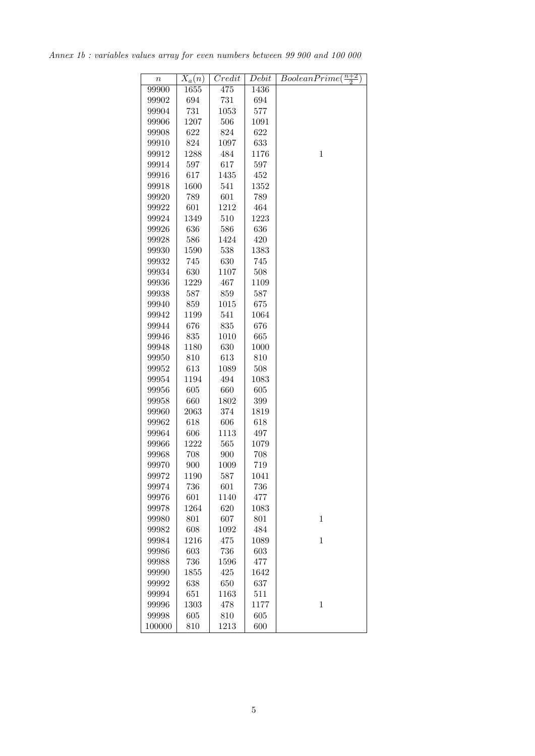*Annex 1b : variables values array for even numbers between 99 900 and 100 000*

| $\it{n}$ | $X_a(n)$ | Credit | Debit | $BooleanPrime(\frac{n+2}{2})$ |
|----------|----------|--------|-------|-------------------------------|
| 99900    | 1655     | 475    | 1436  |                               |
| 99902    | 694      | 731    | 694   |                               |
| 99904    | 731      | 1053   | 577   |                               |
| 99906    | 1207     | 506    | 1091  |                               |
| 99908    | 622      | 824    | 622   |                               |
| 99910    | 824      | 1097   | 633   |                               |
| 99912    | 1288     | 484    | 1176  | $\mathbf{1}$                  |
| 99914    | 597      | 617    | 597   |                               |
| 99916    | 617      | 1435   | 452   |                               |
| 99918    | 1600     | 541    | 1352  |                               |
| 99920    | 789      | 601    | 789   |                               |
| 99922    | 601      | 1212   | 464   |                               |
| 99924    | 1349     | 510    | 1223  |                               |
| 99926    | 636      | 586    | 636   |                               |
| 99928    | 586      | 1424   | 420   |                               |
| 99930    | 1590     | 538    | 1383  |                               |
| 99932    | 745      | 630    | 745   |                               |
| 99934    | 630      | 1107   | 508   |                               |
| 99936    | 1229     | 467    | 1109  |                               |
| 99938    | 587      | 859    | 587   |                               |
| 99940    | 859      | 1015   | 675   |                               |
| 99942    | 1199     | 541    | 1064  |                               |
| 99944    | 676      | 835    | 676   |                               |
| 99946    | 835      | 1010   | 665   |                               |
| 99948    | 1180     | 630    | 1000  |                               |
| 99950    | 810      | 613    | 810   |                               |
| 99952    | 613      | 1089   | 508   |                               |
| 99954    | 1194     | 494    | 1083  |                               |
| 99956    | 605      | 660    | 605   |                               |
| 99958    | 660      | 1802   | 399   |                               |
| 99960    | 2063     | 374    | 1819  |                               |
| 99962    | 618      | 606    | 618   |                               |
| 99964    | 606      | 1113   | 497   |                               |
| 99966    | 1222     | 565    | 1079  |                               |
| 99968    | 708      | 900    | 708   |                               |
| 99970    | 900      | 1009   | 719   |                               |
| 99972    | 1190     | 587    | 1041  |                               |
| 99974    | 736      | 601    | 736   |                               |
| 99976    | 601      | 1140   | 477   |                               |
| 99978    | 1264     | 620    | 1083  |                               |
| 99980    | 801      | 607    | 801   | $\mathbf{1}$                  |
| 99982    | 608      | 1092   | 484   |                               |
| 99984    | 1216     | 475    | 1089  | $\mathbf{1}$                  |
| 99986    | 603      | 736    | 603   |                               |
| 99988    | 736      | 1596   | 477   |                               |
| 99990    | 1855     | 425    | 1642  |                               |
| 99992    | 638      | 650    | 637   |                               |
| 99994    | 651      | 1163   | 511   |                               |
| 99996    | 1303     | 478    | 1177  | $\mathbf{1}$                  |
| 99998    | 605      | 810    | 605   |                               |
| 100000   | 810      | 1213   | 600   |                               |